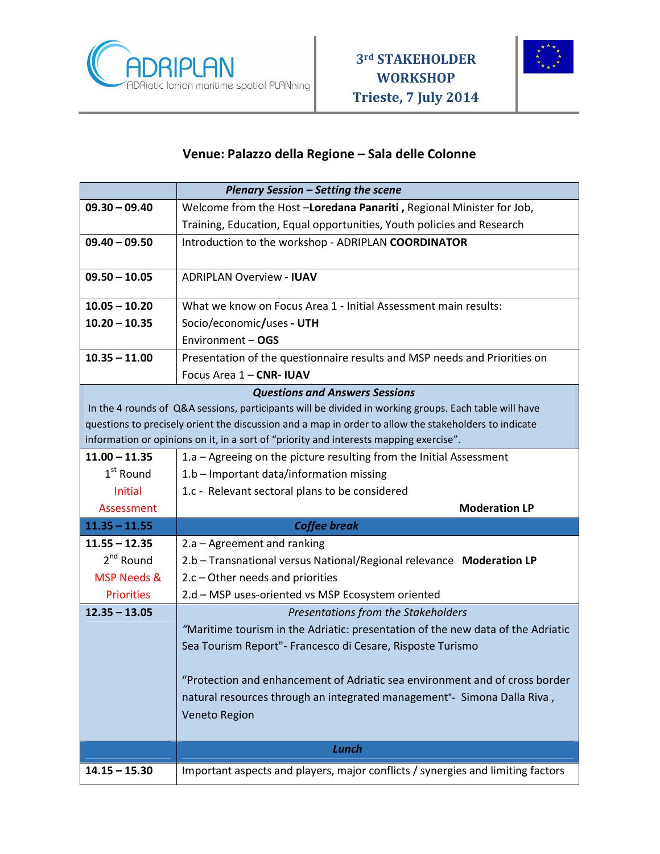



## **Venue: Palazzo della Regione – Sala delle Colonne**

|                                                                                                       | <b>Plenary Session - Setting the scene</b>                                      |
|-------------------------------------------------------------------------------------------------------|---------------------------------------------------------------------------------|
| $09.30 - 09.40$                                                                                       | Welcome from the Host-Loredana Panariti, Regional Minister for Job,             |
|                                                                                                       | Training, Education, Equal opportunities, Youth policies and Research           |
| $09.40 - 09.50$                                                                                       | Introduction to the workshop - ADRIPLAN COORDINATOR                             |
|                                                                                                       |                                                                                 |
| $09.50 - 10.05$                                                                                       | <b>ADRIPLAN Overview - IUAV</b>                                                 |
| $10.05 - 10.20$                                                                                       | What we know on Focus Area 1 - Initial Assessment main results:                 |
| $10.20 - 10.35$                                                                                       | Socio/economic/uses - UTH                                                       |
|                                                                                                       | Environment - OGS                                                               |
| $10.35 - 11.00$                                                                                       | Presentation of the questionnaire results and MSP needs and Priorities on       |
|                                                                                                       | Focus Area 1 - CNR- IUAV                                                        |
| <b>Questions and Answers Sessions</b>                                                                 |                                                                                 |
| In the 4 rounds of Q&A sessions, participants will be divided in working groups. Each table will have |                                                                                 |
| questions to precisely orient the discussion and a map in order to allow the stakeholders to indicate |                                                                                 |
| information or opinions on it, in a sort of "priority and interests mapping exercise".                |                                                                                 |
| $11.00 - 11.35$                                                                                       | 1.a – Agreeing on the picture resulting from the Initial Assessment             |
| $1st$ Round                                                                                           | 1.b - Important data/information missing                                        |
| Initial                                                                                               | 1.c - Relevant sectoral plans to be considered                                  |
| Assessment                                                                                            | <b>Moderation LP</b>                                                            |
| $11.35 - 11.55$                                                                                       | <b>Coffee break</b>                                                             |
| $11.55 - 12.35$                                                                                       | 2.a - Agreement and ranking                                                     |
| $2^{nd}$ Round                                                                                        | 2.b - Transnational versus National/Regional relevance Moderation LP            |
| MSP Needs &                                                                                           | 2.c - Other needs and priorities                                                |
| <b>Priorities</b>                                                                                     | 2.d - MSP uses-oriented vs MSP Ecosystem oriented                               |
| $12.35 - 13.05$                                                                                       | Presentations from the Stakeholders                                             |
|                                                                                                       | "Maritime tourism in the Adriatic: presentation of the new data of the Adriatic |
|                                                                                                       | Sea Tourism Report"- Francesco di Cesare, Risposte Turismo                      |
|                                                                                                       | "Protection and enhancement of Adriatic sea environment and of cross border     |
|                                                                                                       | natural resources through an integrated management"- Simona Dalla Riva,         |
|                                                                                                       | <b>Veneto Region</b>                                                            |
|                                                                                                       |                                                                                 |
|                                                                                                       | Lunch                                                                           |
| $14.15 - 15.30$                                                                                       | Important aspects and players, major conflicts / synergies and limiting factors |